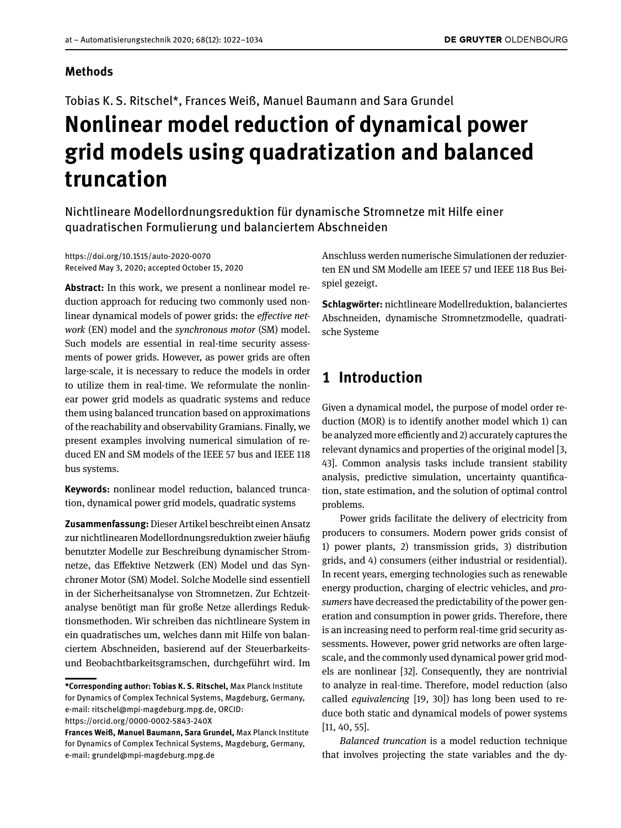### **Methods**

Tobias K. S. Ritschel\*, Frances Weiß, Manuel Baumann and Sara Grundel

# **Nonlinear model reduction of dynamical power grid models using quadratization and balanced truncation**

Nichtlineare Modellordnungsreduktion für dynamische Stromnetze mit Hilfe einer quadratischen Formulierung und balanciertem Abschneiden

<https://doi.org/10.1515/auto-2020-0070> Received May 3, 2020; accepted October 15, 2020

**Abstract:** In this work, we present a nonlinear model reduction approach for reducing two commonly used nonlinear dynamical models of power grids: the *efective network* (EN) model and the *synchronous motor* (SM) model. Such models are essential in real-time security assessments of power grids. However, as power grids are often large-scale, it is necessary to reduce the models in order to utilize them in real-time. We reformulate the nonlinear power grid models as quadratic systems and reduce them using balanced truncation based on approximations of the reachability and observability Gramians. Finally, we present examples involving numerical simulation of reduced EN and SM models of the IEEE 57 bus and IEEE 118 bus systems.

**Keywords:** nonlinear model reduction, balanced truncation, dynamical power grid models, quadratic systems

**Zusammenfassung:**Dieser Artikel beschreibt einen Ansatz zur nichtlinearen Modellordnungsreduktion zweier häufg benutzter Modelle zur Beschreibung dynamischer Stromnetze, das Efektive Netzwerk (EN) Model und das Synchroner Motor (SM) Model. Solche Modelle sind essentiell in der Sicherheitsanalyse von Stromnetzen. Zur Echtzeitanalyse benötigt man für große Netze allerdings Reduktionsmethoden. Wir schreiben das nichtlineare System in ein quadratisches um, welches dann mit Hilfe von balanciertem Abschneiden, basierend auf der Steuerbarkeitsund Beobachtbarkeitsgramschen, durchgeführt wird. Im

Anschluss werden numerische Simulationen der reduzierten EN und SM Modelle am IEEE 57 und IEEE 118 Bus Beispiel gezeigt.

**Schlagwörter:** nichtlineare Modellreduktion, balanciertes Abschneiden, dynamische Stromnetzmodelle, quadratische Systeme

# **1 Introduction**

Given a dynamical model, the purpose of model order reduction (MOR) is to identify another model which 1) can be analyzed more efficiently and 2) accurately captures the relevant dynamics and properties of the original model [\[3,](#page-10-0) [43\]](#page-11-0). Common analysis tasks include transient stability analysis, predictive simulation, uncertainty quantifcation, state estimation, and the solution of optimal control problems.

Power grids facilitate the delivery of electricity from producers to consumers. Modern power grids consist of 1) power plants, 2) transmission grids, 3) distribution grids, and 4) consumers (either industrial or residential). In recent years, emerging technologies such as renewable energy production, charging of electric vehicles, and *prosumers* have decreased the predictability of the power generation and consumption in power grids. Therefore, there is an increasing need to perform real-time grid security assessments. However, power grid networks are often largescale, and the commonly used dynamical power grid models are nonlinear [\[32\]](#page-11-1). Consequently, they are nontrivial to analyze in real-time. Therefore, model reduction (also called *equivalencing* [\[19,](#page-10-1) [30\]](#page-11-2)) has long been used to reduce both static and dynamical models of power systems [\[11,](#page-10-2) [40,](#page-11-3) [55\]](#page-12-1).

*Balanced truncation* is a model reduction technique that involves projecting the state variables and the dy-

**<sup>\*</sup>Corresponding author: Tobias K. S. Ritschel,** Max Planck Institute for Dynamics of Complex Technical Systems, Magdeburg, Germany, e-mail: [ritschel@mpi-magdeburg.mpg.de,](mailto:ritschel@mpi-magdeburg.mpg.de) ORCID:

<https://orcid.org/0000-0002-5843-240X>

**Frances Weiß, Manuel Baumann, Sara Grundel,** Max Planck Institute for Dynamics of Complex Technical Systems, Magdeburg, Germany, e-mail: [grundel@mpi-magdeburg.mpg.de](mailto:grundel@mpi-magdeburg.mpg.de)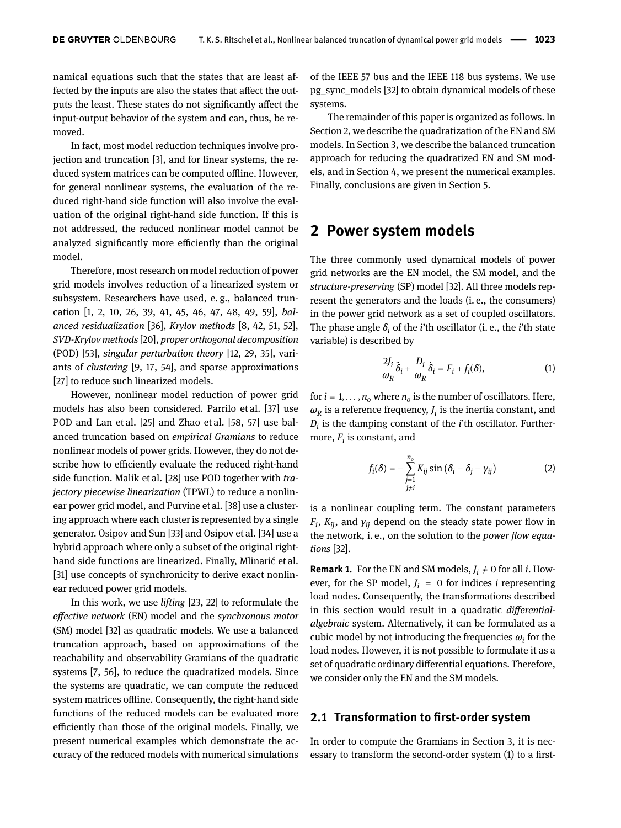namical equations such that the states that are least affected by the inputs are also the states that afect the outputs the least. These states do not signifcantly afect the input-output behavior of the system and can, thus, be removed.

In fact, most model reduction techniques involve projection and truncation [\[3\]](#page-10-0), and for linear systems, the reduced system matrices can be computed offline. However, for general nonlinear systems, the evaluation of the reduced right-hand side function will also involve the evaluation of the original right-hand side function. If this is not addressed, the reduced nonlinear model cannot be analyzed significantly more efficiently than the original model.

Therefore, most research on model reduction of power grid models involves reduction of a linearized system or subsystem. Researchers have used, e. g., balanced truncation [\[1,](#page-10-3) [2,](#page-10-4) [10,](#page-10-5) [26,](#page-11-4) [39,](#page-11-5) [41,](#page-11-6) [45,](#page-11-7) [46,](#page-11-8) [47,](#page-11-9) [48,](#page-11-10) [49,](#page-11-11) [59\]](#page-12-2), *balanced residualization* [\[36\]](#page-11-12), *Krylov methods* [\[8,](#page-10-6) [42,](#page-11-13) [51,](#page-11-14) [52\]](#page-11-15), *SVD-Krylov methods* [\[20\]](#page-10-7), *proper orthogonal decomposition* (POD) [\[53\]](#page-12-3), *singular perturbation theory* [\[12,](#page-10-8) [29,](#page-11-16) [35\]](#page-11-17), variants of *clustering* [\[9,](#page-10-9) [17,](#page-10-10) [54\]](#page-12-4), and sparse approximations [\[27\]](#page-11-18) to reduce such linearized models.

However, nonlinear model reduction of power grid models has also been considered. Parrilo et al. [\[37\]](#page-11-19) use POD and Lan et al. [\[25\]](#page-11-20) and Zhao et al. [\[58,](#page-12-5) [57\]](#page-12-6) use balanced truncation based on *empirical Gramians* to reduce nonlinear models of power grids. However, they do not describe how to efficiently evaluate the reduced right-hand side function. Malik et al. [\[28\]](#page-11-21) use POD together with *trajectory piecewise linearization* (TPWL) to reduce a nonlinear power grid model, and Purvine et al. [\[38\]](#page-11-22) use a clustering approach where each cluster is represented by a single generator. Osipov and Sun [\[33\]](#page-11-23) and Osipov et al. [\[34\]](#page-11-24) use a hybrid approach where only a subset of the original righthand side functions are linearized. Finally, Mlinarić et al. [\[31\]](#page-11-25) use concepts of synchronicity to derive exact nonlinear reduced power grid models.

In this work, we use *lifting* [\[23,](#page-10-11) [22\]](#page-10-12) to reformulate the *efective network* (EN) model and the *synchronous motor* (SM) model [\[32\]](#page-11-1) as quadratic models. We use a balanced truncation approach, based on approximations of the reachability and observability Gramians of the quadratic systems [\[7,](#page-10-13) [56\]](#page-12-7), to reduce the quadratized models. Since the systems are quadratic, we can compute the reduced system matrices offline. Consequently, the right-hand side functions of the reduced models can be evaluated more efficiently than those of the original models. Finally, we present numerical examples which demonstrate the accuracy of the reduced models with numerical simulations

of the IEEE 57 bus and the IEEE 118 bus systems. We use pg\_sync\_models [\[32\]](#page-11-1) to obtain dynamical models of these systems.

The remainder of this paper is organized as follows. In Section [2,](#page-1-0) we describe the quadratization of the EN and SM models. In Section [3,](#page-3-0) we describe the balanced truncation approach for reducing the quadratized EN and SM models, and in Section [4,](#page-5-0) we present the numerical examples. Finally, conclusions are given in Section [5.](#page-9-0)

## <span id="page-1-0"></span>**2 Power system models**

The three commonly used dynamical models of power grid networks are the EN model, the SM model, and the *structure-preserving* (SP) model [\[32\]](#page-11-1). All three models represent the generators and the loads (i. e., the consumers) in the power grid network as a set of coupled oscillators. The phase angle  $\delta_i$  of the *i*'th oscillator (i. e., the *i*'th state variable) is described by

<span id="page-1-1"></span>
$$
\frac{2J_i}{\omega_R}\ddot{\delta}_i + \frac{D_i}{\omega_R}\dot{\delta}_i = F_i + f_i(\delta),\tag{1}
$$

for  $i = 1, \ldots, n_o$  where  $n_o$  is the number of oscillators. Here,  $\omega_R$  is a reference frequency,  $J_i$  is the inertia constant, and *Di* is the damping constant of the *i*'th oscillator. Furthermore, *F<sup>i</sup>* is constant, and

<span id="page-1-2"></span>
$$
f_i(\delta) = -\sum_{\substack{j=1 \ j\neq i}}^{n_o} K_{ij} \sin \left(\delta_i - \delta_j - \gamma_{ij}\right)
$$
 (2)

is a nonlinear coupling term. The constant parameters  $F_i$ ,  $K_{ij}$ , and  $\gamma_{ij}$  depend on the steady state power flow in the network, i. e., on the solution to the *power fow equations* [\[32\]](#page-11-1).

**Remark 1.** For the EN and SM models,  $J_i \neq 0$  for all *i*. However, for the SP model,  $J_i = 0$  for indices *i* representing load nodes. Consequently, the transformations described in this section would result in a quadratic *diferentialalgebraic* system. Alternatively, it can be formulated as a cubic model by not introducing the frequencies  $\omega_i$  for the load nodes. However, it is not possible to formulate it as a set of quadratic ordinary diferential equations. Therefore, we consider only the EN and the SM models.

### **2.1 Transformation to frst-order system**

In order to compute the Gramians in Section [3,](#page-3-0) it is necessary to transform the second-order system [\(1\)](#page-1-1) to a frst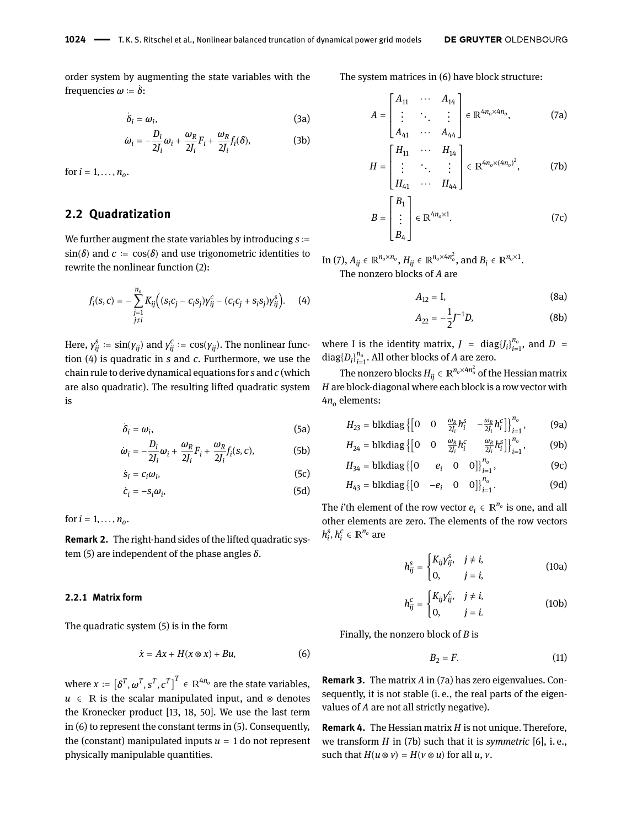order system by augmenting the state variables with the frequencies *ω* := ̇ *δ*:

<span id="page-2-7"></span>
$$
\dot{\delta}_i = \omega_i, \tag{3a}
$$

$$
\dot{\omega}_i = -\frac{D_i}{2J_i}\omega_i + \frac{\omega_R}{2J_i}F_i + \frac{\omega_R}{2J_i}f_i(\delta),\tag{3b}
$$

for  $i = 1, ..., n_{o}$ .

## **2.2 Quadratization**

We further augment the state variables by introducing  $s :=$  $sin(\delta)$  and  $c := cos(\delta)$  and use trigonometric identities to rewrite the nonlinear function [\(2\)](#page-1-2):

$$
f_i(s, c) = -\sum_{\substack{j=1 \ j \neq i}}^{n_o} K_{ij} \Big( (s_i c_j - c_i s_j) \gamma_{ij}^c - (c_i c_j + s_i s_j) \gamma_{ij}^s \Big). \tag{4}
$$

<span id="page-2-1"></span>Here,  $\gamma_{ij}^s := \sin(\gamma_{ij})$  and  $\gamma_{ij}^c := \cos(\gamma_{ij})$ . The nonlinear function [\(4\)](#page-2-0) is quadratic in *s* and *c*. Furthermore, we use the chain rule to derive dynamical equations for *s* and *c* (which are also quadratic). The resulting lifted quadratic system is

$$
\dot{\delta}_i = \omega_i, \tag{5a}
$$

$$
\dot{\omega}_i = -\frac{D_i}{2J_i}\omega_i + \frac{\omega_R}{2J_i}F_i + \frac{\omega_R}{2J_i}f_i(s, c),
$$
 (5b)

$$
\dot{s}_i = c_i \omega_i, \tag{5c}
$$

$$
\dot{c}_i = -s_i \omega_i, \tag{5d}
$$

for  $i = 1, ..., n_{o}$ .

<span id="page-2-6"></span>**Remark 2.** The right-hand sides of the lifted quadratic system [\(5\)](#page-2-1) are independent of the phase angles *δ*.

#### **2.2.1 Matrix form**

The quadratic system [\(5\)](#page-2-1) is in the form

$$
\dot{x} = Ax + H(x \otimes x) + Bu, \tag{6}
$$

where  $x := \left[\delta^T, \omega^T, s^T, c^T\right]^T \in \mathbb{R}^{4n_o}$  are the state variables,  $u \in \mathbb{R}$  is the scalar manipulated input, and  $\otimes$  denotes the Kronecker product [\[13,](#page-10-14) [18,](#page-10-15) [50\]](#page-11-26). We use the last term in [\(6\)](#page-2-2) to represent the constant terms in [\(5\)](#page-2-1). Consequently, the (constant) manipulated inputs  $u = 1$  do not represent physically manipulable quantities.

The system matrices in [\(6\)](#page-2-2) have block structure:

<span id="page-2-4"></span><span id="page-2-3"></span>
$$
A = \begin{bmatrix} A_{11} & \cdots & A_{14} \\ \vdots & \ddots & \vdots \\ A_{41} & \cdots & A_{44} \end{bmatrix} \in \mathbb{R}^{4n_o \times 4n_o},\tag{7a}
$$

<span id="page-2-5"></span>
$$
H = \begin{bmatrix} H_{11} & \cdots & H_{14} \\ \vdots & \ddots & \vdots \\ H_{41} & \cdots & H_{44} \end{bmatrix} \in \mathbb{R}^{4n_o \times (4n_o)^2},\tag{7b}
$$

$$
B = \begin{bmatrix} B_1 \\ \vdots \\ B_4 \end{bmatrix} \in \mathbb{R}^{4n_o \times 1}.
$$
 (7c)

<span id="page-2-0"></span>In (7), 
$$
A_{ij} \in \mathbb{R}^{n_o \times n_o}
$$
,  $H_{ij} \in \mathbb{R}^{n_o \times 4n_o^2}$ , and  $B_i \in \mathbb{R}^{n_o \times 1}$ .  
The nonzero blocks of *A* are

$$
A_{12} = I,\t\t(8a)
$$

$$
A_{22} = -\frac{1}{2}J^{-1}D,\tag{8b}
$$

where I is the identity matrix,  $J = \text{diag}\{J_i\}_{i=1}^{n_o}$ , and  $D =$  $diag\{D_i\}_{i=1}^{n_o}$ . All other blocks of *A* are zero.

The nonzero blocks  $H_{ij} \in \mathbb{R}^{n_o \times 4n_o^2}$  of the Hessian matrix *H* are block-diagonal where each block is a row vector with 4*n<sup>o</sup>* elements:

$$
H_{23} = \text{blkdiag}\left\{ \begin{bmatrix} 0 & 0 & \frac{\omega_R}{2J_i} h_i^S & -\frac{\omega_R}{2J_i} h_i^C \end{bmatrix} \right\}_{i=1}^{n_o},\tag{9a}
$$

$$
H_{24} = \text{blkdiag}\left\{ \begin{bmatrix} 0 & 0 & \frac{\omega_R}{2J_i} h_i^c & \frac{\omega_R}{2J_i} h_i^s \end{bmatrix} \right\}_{i=1}^{n_o},\tag{9b}
$$

$$
H_{34} = \text{blkdiag} \{ [0 \quad e_i \quad 0 \quad 0] \}_{i=1}^{n_0}, \tag{9c}
$$

<span id="page-2-8"></span>
$$
H_{43} = \text{blkdiag}\left\{ \begin{bmatrix} 0 & -e_i & 0 & 0 \end{bmatrix} \right\}_{i=1}^{n_o}.\tag{9d}
$$

<span id="page-2-9"></span>The *i*'th element of the row vector  $e_i \in \mathbb{R}^{n_o}$  is one, and all other elements are zero. The elements of the row vectors  $h_i^s, h_i^c \in \mathbb{R}^{n_o}$  are

$$
h_{ij}^{s} = \begin{cases} K_{ij} y_{ij}^{s}, & j \neq i, \\ 0, & j = i, \end{cases}
$$
 (10a)

$$
h_{ij}^c = \begin{cases} K_{ij}y_{ij}^c, & j \neq i, \\ 0, & j = i. \end{cases}
$$
 (10b)

Finally, the nonzero block of *B* is

$$
B_2 = F. \tag{11}
$$

<span id="page-2-2"></span>**Remark 3.** The matrix *A* in [\(7a\)](#page-2-4) has zero eigenvalues. Consequently, it is not stable (i. e., the real parts of the eigenvalues of *A* are not all strictly negative).

**Remark 4.** The Hessian matrix *H* is not unique. Therefore, we transform *H* in [\(7b\)](#page-2-5) such that it is *symmetric* [\[6\]](#page-10-16), i. e., such that  $H(u \otimes v) = H(v \otimes u)$  for all  $u, v$ .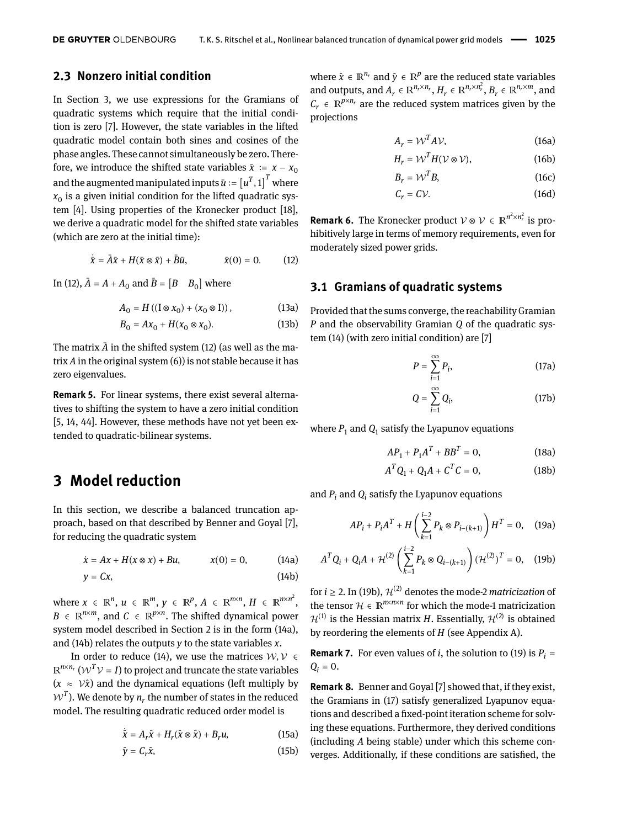## **2.3 Nonzero initial condition**

In Section [3,](#page-3-0) we use expressions for the Gramians of quadratic systems which require that the initial condition is zero [\[7\]](#page-10-13). However, the state variables in the lifted quadratic model contain both sines and cosines of the phase angles. These cannot simultaneously be zero. Therefore, we introduce the shifted state variables  $\bar{x}$  :=  $x - x_0$ and the augmented manipulated inputs  $\bar{u}\coloneqq\left[u^T,1\right]^T$  where  $x_{0}$  is a given initial condition for the lifted quadratic sys-  $\,$ tem [\[4\]](#page-10-17). Using properties of the Kronecker product [\[18\]](#page-10-15), we derive a quadratic model for the shifted state variables (which are zero at the initial time):

$$
\dot{\bar{x}} = \bar{A}\bar{x} + H(\bar{x} \otimes \bar{x}) + \bar{B}\bar{u}, \qquad \bar{x}(0) = 0. \qquad (12)
$$

In [\(12\)](#page-3-1),  $\bar{A} = A + A_0$  and  $\bar{B} = [B \ B_0]$  where

$$
A_0 = H((I \otimes x_0) + (x_0 \otimes I)), \qquad (13a)
$$

$$
B_0 = Ax_0 + H(x_0 \otimes x_0).
$$
 (13b)

The matrix  $\bar{A}$  in the shifted system [\(12\)](#page-3-1) (as well as the matrix *A* in the original system [\(6\)](#page-2-2)) is not stable because it has zero eigenvalues.

**Remark 5.** For linear systems, there exist several alternatives to shifting the system to have a zero initial condition [\[5,](#page-10-18) [14,](#page-10-19) [44\]](#page-11-27). However, these methods have not yet been extended to quadratic-bilinear systems.

## <span id="page-3-0"></span>**3 Model reduction**

In this section, we describe a balanced truncation approach, based on that described by Benner and Goyal [\[7\]](#page-10-13), for reducing the quadratic system

<span id="page-3-4"></span>
$$
\dot{x} = Ax + H(x \otimes x) + Bu,
$$
  $x(0) = 0,$  (14a)

$$
y = Cx, \tag{14b}
$$

where  $x \in \mathbb{R}^n$ ,  $u \in \mathbb{R}^m$ ,  $y \in \mathbb{R}^p$ ,  $A \in \mathbb{R}^{n \times n}$ ,  $H \in \mathbb{R}^{n \times n^2}$ ,  $B \in \mathbb{R}^{n \times m}$ , and  $C \in \mathbb{R}^{p \times n}$ . The shifted dynamical power system model described in Section [2](#page-1-0) is in the form [\(14a\)](#page-3-2), and [\(14b\)](#page-3-3) relates the outputs *y* to the state variables *x*.

In order to reduce [\(14\)](#page-3-4), we use the matrices  $W, V \in$  $\mathbb{R}^{n \times n_r}$   $(\mathcal{W}^T \mathcal{V} = I)$  to project and truncate the state variables  $(x \approx \mathcal{V} \hat{x})$  and the dynamical equations (left multiply by  $\boldsymbol{\mathcal{W}}^{T}$ ). We denote by  $n_{r}$  the number of states in the reduced model. The resulting quadratic reduced order model is

$$
\dot{\hat{x}} = A_r \hat{x} + H_r(\hat{x} \otimes \hat{x}) + B_r u,\tag{15a}
$$

$$
\hat{y} = C_r \hat{x},\tag{15b}
$$

where  $\hat{x} \in \mathbb{R}^{n_r}$  and  $\hat{y} \in \mathbb{R}^p$  are the reduced state variables and outputs, and  $A_r \in \mathbb{R}^{n_r \times n_r}$ ,  $H_r \in \mathbb{R}^{n_r \times n_r^2}$ ,  $B_r \in \mathbb{R}^{n_r \times m_r}$ , and  $C_r \in \mathbb{R}^{p \times n_r}$  are the reduced system matrices given by the projections

<span id="page-3-9"></span>
$$
A_r = \mathcal{W}^T A \mathcal{V},\tag{16a}
$$

$$
H_r = \mathcal{W}^T H(\mathcal{V} \otimes \mathcal{V}),\tag{16b}
$$

$$
B_r = \mathcal{W}^T B, \tag{16c}
$$

$$
C_r = C\mathcal{V}.\tag{16d}
$$

<span id="page-3-1"></span>**Remark 6.** The Kronecker product  $V \otimes V \in \mathbb{R}^{n^2 \times n_r^2}$  is prohibitively large in terms of memory requirements, even for moderately sized power grids.

#### **3.1 Gramians of quadratic systems**

Provided that the sums converge, the reachability Gramian *P* and the observability Gramian *Q* of the quadratic system [\(14\)](#page-3-4) (with zero initial condition) are [\[7\]](#page-10-13)

<span id="page-3-7"></span>
$$
P = \sum_{i=1}^{\infty} P_i,\tag{17a}
$$

<span id="page-3-8"></span>
$$
Q = \sum_{i=1}^{\infty} Q_i, \tag{17b}
$$

where  $P_1$  and  $Q_1$  satisfy the Lyapunov equations

$$
AP_1 + P_1A^T + BB^T = 0,
$$
 (18a)

<span id="page-3-6"></span><span id="page-3-5"></span>
$$
A^T Q_1 + Q_1 A + C^T C = 0,
$$
 (18b)

and  $P_i$  and  $Q_i$  satisfy the Lyapunov equations

$$
AP_i + P_iA^T + H\left(\sum_{k=1}^{i-2} P_k \otimes P_{i-(k+1)}\right)H^T = 0, \quad (19a)
$$

<span id="page-3-2"></span>
$$
A^T Q_i + Q_i A + \mathcal{H}^{(2)} \left( \sum_{k=1}^{i-2} P_k \otimes Q_{i-(k+1)} \right) (\mathcal{H}^{(2)})^T = 0, \quad (19b)
$$

<span id="page-3-3"></span>for  $i \geq 2$ . In [\(19b\)](#page-3-5),  $\mathcal{H}^{(2)}$  denotes the mode-2 *matricization* of the tensor  $\mathcal{H} \in \mathbb{R}^{n \times n \times n}$  for which the mode-1 matricization  $\mathcal{H}^{(1)}$  is the Hessian matrix *H*. Essentially,  $\mathcal{H}^{(2)}$  is obtained by reordering the elements of *H* (see Appendix [A\)](#page-9-1).

**Remark 7.** For even values of *i*, the solution to [\(19\)](#page-3-6) is  $P_i =$  $Q_i = 0$ .

**Remark 8.** Benner and Goyal [\[7\]](#page-10-13) showed that, if they exist, the Gramians in [\(17\)](#page-3-7) satisfy generalized Lyapunov equations and described a fxed-point iteration scheme for solving these equations. Furthermore, they derived conditions (including *A* being stable) under which this scheme converges. Additionally, if these conditions are satisfed, the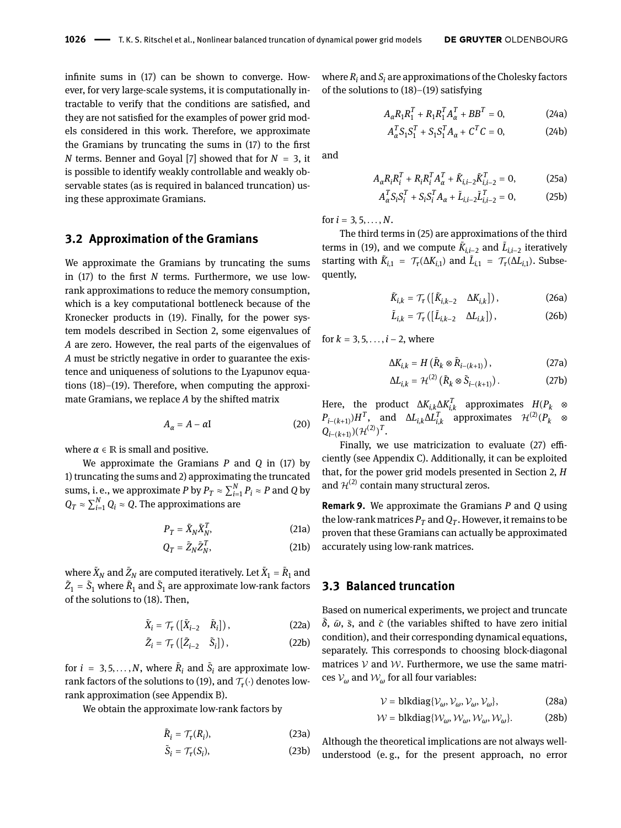infnite sums in [\(17\)](#page-3-7) can be shown to converge. However, for very large-scale systems, it is computationally intractable to verify that the conditions are satisfed, and they are not satisfed for the examples of power grid models considered in this work. Therefore, we approximate the Gramians by truncating the sums in [\(17\)](#page-3-7) to the frst *N* terms. Benner and Goyal [\[7\]](#page-10-13) showed that for *N* = 3, it is possible to identify weakly controllable and weakly observable states (as is required in balanced truncation) using these approximate Gramians.

#### **3.2 Approximation of the Gramians**

We approximate the Gramians by truncating the sums in [\(17\)](#page-3-7) to the frst *N* terms. Furthermore, we use lowrank approximations to reduce the memory consumption, which is a key computational bottleneck because of the Kronecker products in [\(19\)](#page-3-6). Finally, for the power system models described in Section [2,](#page-1-0) some eigenvalues of *A* are zero. However, the real parts of the eigenvalues of *A* must be strictly negative in order to guarantee the existence and uniqueness of solutions to the Lyapunov equations [\(18\)](#page-3-8)–[\(19\)](#page-3-6). Therefore, when computing the approximate Gramians, we replace *A* by the shifted matrix

$$
A_{\alpha} = A - \alpha I \tag{20}
$$

where  $\alpha \in \mathbb{R}$  is small and positive.

We approximate the Gramians *P* and *Q* in [\(17\)](#page-3-7) by 1) truncating the sums and 2) approximating the truncated sums, i. e., we approximate *P* by  $P_T \approx \sum_{i=1}^{N} P_i \approx P$  and *Q* by  $Q_T \approx \sum_{i=1}^N Q_i \approx Q.$  The approximations are

$$
P_T = \tilde{X}_N \tilde{X}_N^T,\tag{21a}
$$

$$
Q_T = \tilde{Z}_N \tilde{Z}_N^T,\tag{21b}
$$

where  $\tilde{X}_N$  and  $\tilde{Z}_N$  are computed iteratively. Let  $\tilde{X}_1 = \tilde{R}_1$  and  $\tilde{Z}_1 = \tilde{S}_1$  where  $\tilde{R}_1$  and  $\tilde{S}_1$  are approximate low-rank factors of the solutions to [\(18\)](#page-3-8). Then,

$$
\tilde{X}_i = \mathcal{T}_{\tau} \left( \begin{bmatrix} \tilde{X}_{i-2} & \tilde{R}_i \end{bmatrix} \right),\tag{22a}
$$

$$
\tilde{Z}_i = \mathcal{T}_{\tau}([\tilde{Z}_{i-2} \quad \tilde{S}_i]), \tag{22b}
$$

for  $i = 3, 5, ..., N$ , where  $\tilde{R}_i$  and  $\tilde{S}_i$  are approximate low-rank factors of the solutions to [\(19\)](#page-3-6), and  $\mathcal{T}_{\bm{\tau}}(\cdot)$  denotes lowrank approximation (see Appendix [B\)](#page-9-2).

We obtain the approximate low-rank factors by

$$
\tilde{R}_i = \mathcal{T}_\tau(R_i),\tag{23a}
$$

$$
\tilde{S}_i = \mathcal{T}_{\tau}(S_i),\tag{23b}
$$

where  $R_i$  and  $S_i$  are approximations of the Cholesky factors of the solutions to [\(18\)](#page-3-8)–[\(19\)](#page-3-6) satisfying

$$
A_{\alpha}R_{1}R_{1}^{T} + R_{1}R_{1}^{T}A_{\alpha}^{T} + BB^{T} = 0, \qquad (24a)
$$

$$
A_{\alpha}^{T} S_1 S_1^{T} + S_1 S_1^{T} A_{\alpha} + C^{T} C = 0, \qquad (24b)
$$

<span id="page-4-0"></span>and

$$
A_{\alpha}R_{i}R_{i}^{T} + R_{i}R_{i}^{T}A_{\alpha}^{T} + \tilde{K}_{i,i-2}\tilde{K}_{i,i-2}^{T} = 0, \qquad (25a)
$$

$$
A_{\alpha}^{T} S_i S_i^{T} + S_i S_i^{T} A_{\alpha} + \tilde{L}_{i,i-2} \tilde{L}_{i,i-2}^{T} = 0, \qquad (25b)
$$

for  $i = 3, 5, ..., N$ .

The third terms in [\(25\)](#page-4-0) are approximations of the third terms in [\(19\)](#page-3-6), and we compute  $\tilde{K}_{i,i-2}$  and  $\tilde{L}_{i,i-2}$  iteratively starting with  $\tilde{K}_{i,1} = \mathcal{T}_{\tau}(\Delta K_{i,1})$  and  $\tilde{L}_{i,1} = \mathcal{T}_{\tau}(\Delta L_{i,1})$ . Subsequently,

$$
\tilde{K}_{i,k} = \mathcal{T}_{\tau} \left( \begin{bmatrix} \tilde{K}_{i,k-2} & \Delta K_{i,k} \end{bmatrix} \right),\tag{26a}
$$

<span id="page-4-1"></span>
$$
\tilde{L}_{i,k} = \mathcal{T}_{\tau} \left( \begin{bmatrix} \tilde{L}_{i,k-2} & \Delta L_{i,k} \end{bmatrix} \right),\tag{26b}
$$

for  $k = 3, 5, \ldots, i - 2$ , where

<span id="page-4-4"></span>
$$
\Delta K_{i,k} = H\left(\tilde{R}_k \otimes \tilde{R}_{i-(k+1)}\right),\tag{27a}
$$

<span id="page-4-5"></span>
$$
\Delta L_{i,k} = \mathcal{H}^{(2)}\left(\tilde{R}_k \otimes \tilde{S}_{i-(k+1)}\right). \tag{27b}
$$

<span id="page-4-3"></span>Here, the product  $\Delta K_{i,k} \Delta K_{i,k}^T$  approximates  $H(P_k \otimes$  $P_{i-(k+1)}$ )*H*<sup>T</sup>, and  $\Delta L_{i,k} \Delta L_{i,k}^T$  approximates  $\mathcal{H}^{(2)}(P_k \otimes$  $Q_{i-(k+1)}$  $)(\mathcal{H}^{(2)})^T$ .

Finally, we use matricization to evaluate  $(27)$  efficiently (see Appendix [C\)](#page-10-20). Additionally, it can be exploited that, for the power grid models presented in Section [2,](#page-1-0) *H* and  $\mathcal{H}^{(2)}$  contain many structural zeros.

<span id="page-4-2"></span>**Remark 9.** We approximate the Gramians *P* and *Q* using the low-rank matrices  $P_T$  and  $Q_T$ . However, it remains to be proven that these Gramians can actually be approximated accurately using low-rank matrices.

### **3.3 Balanced truncation**

Based on numerical experiments, we project and truncate  $\overline{\delta}$ ,  $\overline{\omega}$ ,  $\overline{s}$ , and  $\overline{c}$  (the variables shifted to have zero initial condition), and their corresponding dynamical equations, separately. This corresponds to choosing block-diagonal matrices  $V$  and  $W$ . Furthermore, we use the same matrices  $V_{\omega}$  and  $W_{\omega}$  for all four variables:

$$
\mathcal{V} = \text{blkdiag}\{\mathcal{V}_{\omega}, \mathcal{V}_{\omega}, \mathcal{V}_{\omega}, \mathcal{V}_{\omega}\},\tag{28a}
$$

$$
\mathcal{W} = \text{blkdiag}\{W_{\omega}, W_{\omega}, W_{\omega}, W_{\omega}\}.
$$
 (28b)

Although the theoretical implications are not always wellunderstood (e. g., for the present approach, no error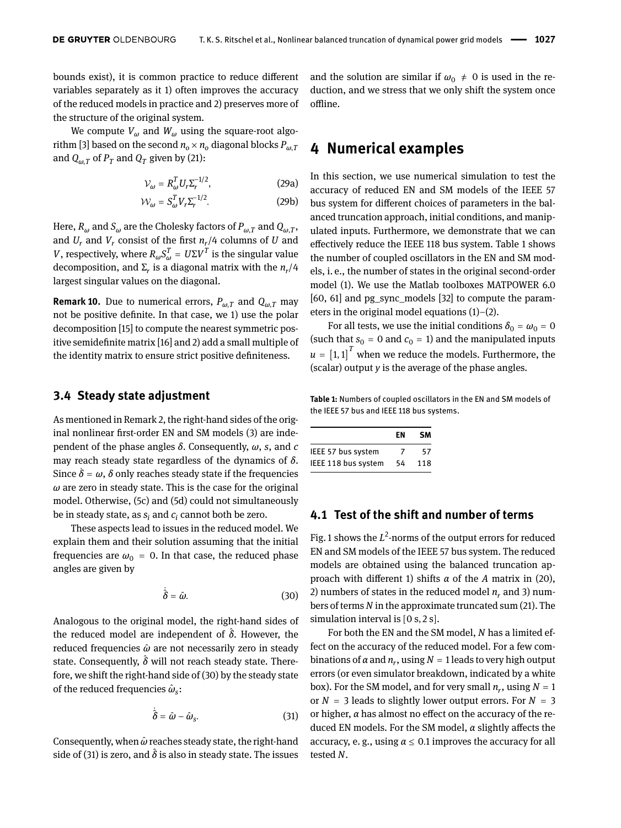bounds exist), it is common practice to reduce diferent variables separately as it 1) often improves the accuracy of the reduced models in practice and 2) preserves more of the structure of the original system.

We compute  $V_\omega$  and  $W_\omega$  using the square-root algo-rithm [\[3\]](#page-10-0) based on the second  $n_o \times n_o$  diagonal blocks  $P_{\omega, T}$ and  $Q_{\omega,T}$  of  $P_T$  and  $Q_T$  given by [\(21\)](#page-4-2):

$$
\mathcal{V}_{\omega} = R_{\omega}^{T} U_{r} \Sigma_{r}^{-1/2},\qquad(29a)
$$

$$
\mathcal{W}_{\omega} = S_{\omega}^{T} V_{r} \Sigma_{r}^{-1/2}.
$$
 (29b)

Here,  $R_\omega$  and  $S_\omega$  are the Cholesky factors of  $P_{\omega,T}$  and  $Q_{\omega,T}$ , and  $U_r$  and  $V_r$  consist of the first  $n_r/4$  columns of  $U$  and *V*, respectively, where  $R_{\omega}S_{\omega}^T = U\Sigma V^T$  is the singular value decomposition, and Σ*<sup>r</sup>* is a diagonal matrix with the *n<sup>r</sup>* /4 largest singular values on the diagonal.

**Remark 10.** Due to numerical errors,  $P_{\omega,T}$  and  $Q_{\omega,T}$  may not be positive defnite. In that case, we 1) use the polar decomposition [\[15\]](#page-10-21) to compute the nearest symmetric positive semidefnite matrix [\[16\]](#page-10-22) and 2) add a small multiple of the identity matrix to ensure strict positive defniteness.

#### **3.4 Steady state adjustment**

As mentioned in Remark [2,](#page-2-6) the right-hand sides of the original nonlinear frst-order EN and SM models [\(3\)](#page-2-7) are independent of the phase angles *δ*. Consequently, *ω*, *s*, and *c* may reach steady state regardless of the dynamics of *δ*. Since  $\dot{\delta} = \omega$ ,  $\delta$  only reaches steady state if the frequencies *ω* are zero in steady state. This is the case for the original model. Otherwise, [\(5c\)](#page-2-8) and [\(5d\)](#page-2-9) could not simultaneously be in steady state, as *s<sup>i</sup>* and *c<sup>i</sup>* cannot both be zero.

These aspects lead to issues in the reduced model. We explain them and their solution assuming that the initial frequencies are  $\omega_0 = 0$ . In that case, the reduced phase angles are given by

$$
\dot{\hat{\delta}} = \hat{\omega}.\tag{30}
$$

Analogous to the original model, the right-hand sides of the reduced model are independent of  $\delta$ . However, the reduced frequencies *ω*̂ are not necessarily zero in steady state. Consequently,  $\delta$  will not reach steady state. Therefore, we shift the right-hand side of [\(30\)](#page-5-1) by the steady state of the reduced frequencies *ω*̂ *s* :

$$
\dot{\hat{\delta}} = \hat{\omega} - \hat{\omega}_{s}.
$$
 (31)

Consequently, when *ω*̂reaches steady state, the right-hand side of [\(31\)](#page-5-2) is zero, and  $\hat{\delta}$  is also in steady state. The issues and the solution are similar if  $\omega_0 \neq 0$  is used in the reduction, and we stress that we only shift the system once offline.

## <span id="page-5-0"></span>**4 Numerical examples**

In this section, we use numerical simulation to test the accuracy of reduced EN and SM models of the IEEE 57 bus system for diferent choices of parameters in the balanced truncation approach, initial conditions, and manipulated inputs. Furthermore, we demonstrate that we can efectively reduce the IEEE 118 bus system. Table [1](#page-5-3) shows the number of coupled oscillators in the EN and SM models, i. e., the number of states in the original second-order model [\(1\)](#page-1-1). We use the Matlab toolboxes MATPOWER 6.0 [\[60,](#page-12-8) [61\]](#page-12-9) and pg\_sync\_models [\[32\]](#page-11-1) to compute the parameters in the original model equations [\(1\)](#page-1-1)–[\(2\)](#page-1-2).

For all tests, we use the initial conditions  $\delta_0 = \omega_0 = 0$ (such that  $s_0 = 0$  and  $c_0 = 1$ ) and the manipulated inputs  $u = \left[1, 1\right]^T$  when we reduce the models. Furthermore, the (scalar) output *y* is the average of the phase angles.

<span id="page-5-3"></span>**Table 1:** Numbers of coupled oscillators in the EN and SM models of the IEEE 57 bus and IEEE 118 bus systems.

|                     | FN | SΜ  |
|---------------------|----|-----|
| IEEE 57 bus system  | 7  | 57  |
| IEEE 118 bus system | 54 | 118 |

#### <span id="page-5-4"></span>**4.1 Test of the shift and number of terms**

Fig. [1](#page-6-0) shows the *L* 2 -norms of the output errors for reduced EN and SM models of the IEEE 57 bus system. The reduced models are obtained using the balanced truncation approach with diferent 1) shifts *α* of the *A* matrix in [\(20\)](#page-4-3), 2) numbers of states in the reduced model  $n_r$  and 3) numbers of terms *N* in the approximate truncated sum [\(21\)](#page-4-2). The simulation interval is [0 s, 2 s].

<span id="page-5-2"></span><span id="page-5-1"></span>For both the EN and the SM model, *N* has a limited effect on the accuracy of the reduced model. For a few combinations of *α* and *n<sup>r</sup>* , using *N* = 1 leads to very high output errors (or even simulator breakdown, indicated by a white box). For the SM model, and for very small  $n_r$ , using  $N = 1$ or  $N = 3$  leads to slightly lower output errors. For  $N = 3$ or higher, *α* has almost no efect on the accuracy of the reduced EN models. For the SM model, *α* slightly afects the accuracy, e.g., using  $\alpha \leq 0.1$  improves the accuracy for all tested *N*.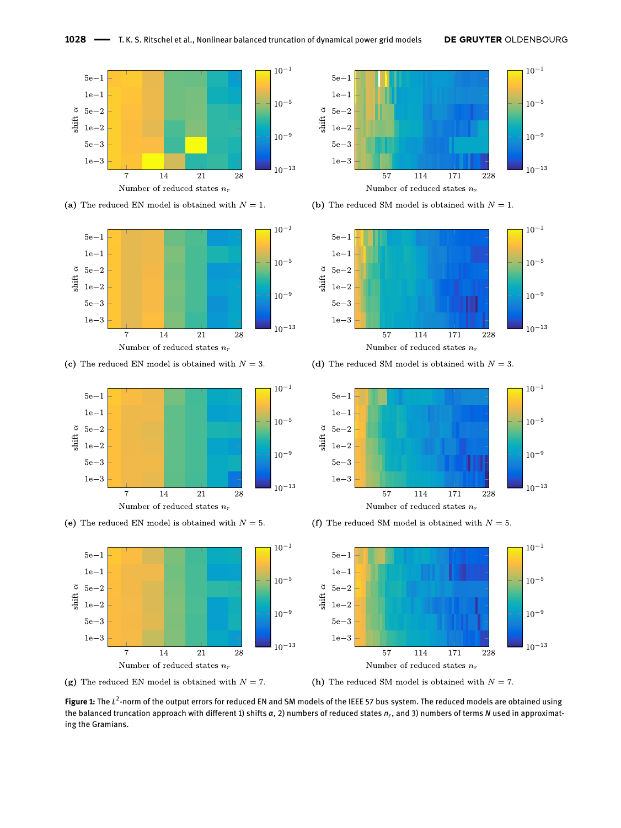<span id="page-6-0"></span>

(a) The reduced EN model is obtained with  $N = 1$ .



(c) The reduced EN model is obtained with  $N = 3$ .



(e) The reduced EN model is obtained with  $N = 5$ .



(g) The reduced EN model is obtained with  $N = 7$ .



(b) The reduced SM model is obtained with  $N = 1$ .



(d) The reduced SM model is obtained with  $N = 3$ .



(f) The reduced SM model is obtained with  $N = 5$ .



(h) The reduced SM model is obtained with  $N = 7$ .

**Figure 1:** The  $L^2$ -norm of the output errors for reduced EN and SM models of the IEEE 57 bus system. The reduced models are obtained using the balanced truncation approach with diferent 1) shifts *α*, 2) numbers of reduced states *n<sup>r</sup>* , and 3) numbers of terms *N* used in approximating the Gramians.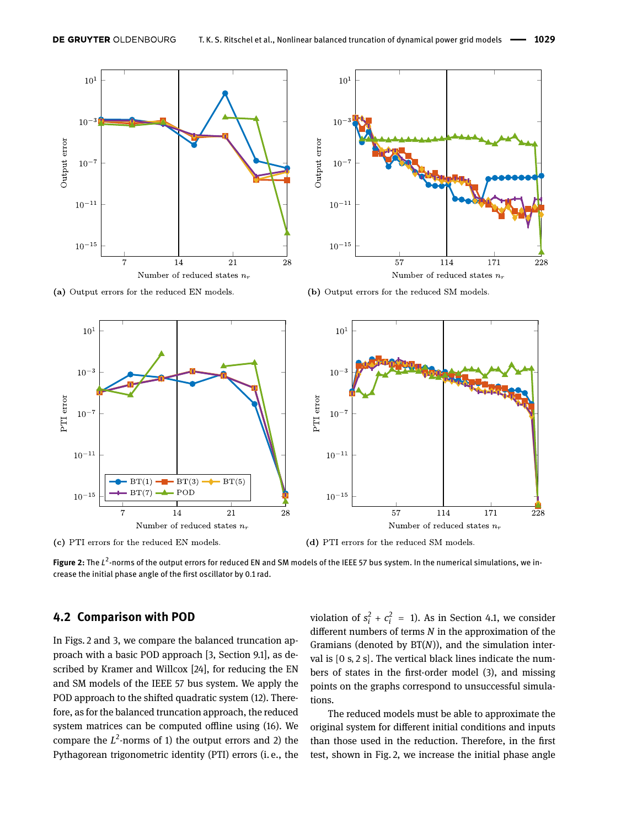<span id="page-7-0"></span>

(a) Output errors for the reduced EN models.



(b) Output errors for the reduced SM models.



(c) PTI errors for the reduced EN models.

(d) PTI errors for the reduced SM models.

Figure 2: The L<sup>2</sup>-norms of the output errors for reduced EN and SM models of the IEEE 57 bus system. In the numerical simulations, we increase the initial phase angle of the frst oscillator by 0.1 rad.

#### <span id="page-7-1"></span>**4.2 Comparison with POD**

In Figs. [2](#page-7-0) and [3,](#page-8-0) we compare the balanced truncation approach with a basic POD approach [\[3,](#page-10-0) Section 9.1], as described by Kramer and Willcox [\[24\]](#page-11-28), for reducing the EN and SM models of the IEEE 57 bus system. We apply the POD approach to the shifted quadratic system [\(12\)](#page-3-1). Therefore, as for the balanced truncation approach, the reduced system matrices can be computed offline using [\(16\)](#page-3-9). We compare the  $L^2$ -norms of 1) the output errors and 2) the Pythagorean trigonometric identity (PTI) errors (i. e., the violation of  $s_i^2 + c_i^2 = 1$ ). As in Section [4.1,](#page-5-4) we consider diferent numbers of terms *N* in the approximation of the Gramians (denoted by BT(*N*)), and the simulation interval is [0 s, 2 s]. The vertical black lines indicate the numbers of states in the frst-order model [\(3\)](#page-2-7), and missing points on the graphs correspond to unsuccessful simulations.

The reduced models must be able to approximate the original system for diferent initial conditions and inputs than those used in the reduction. Therefore, in the frst test, shown in Fig. [2,](#page-7-0) we increase the initial phase angle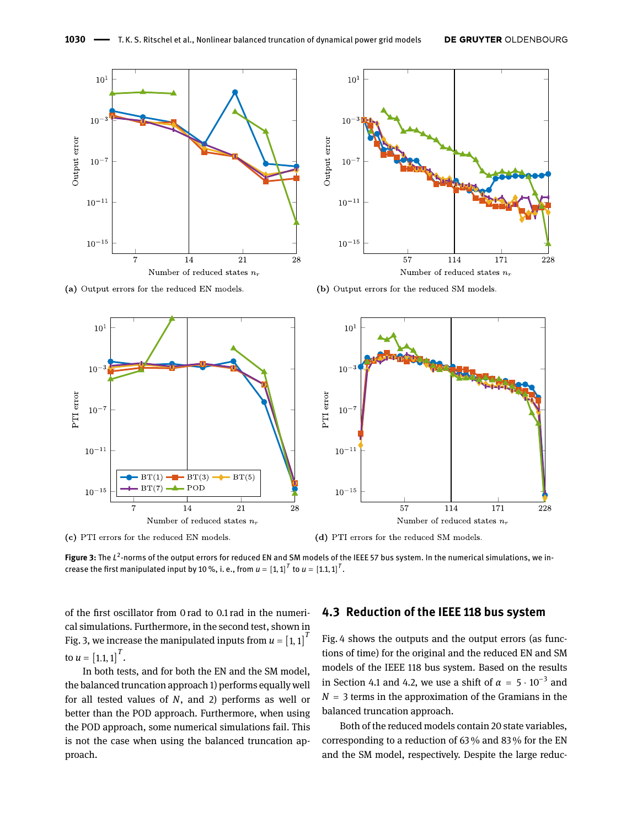<span id="page-8-0"></span>

(a) Output errors for the reduced EN models.



(c) PTI errors for the reduced EN models.



(b) Output errors for the reduced SM models.



(d) PTI errors for the reduced SM models.

**Figure 3:** The *L* 2 -norms of the output errors for reduced EN and SM models of the IEEE 57 bus system. In the numerical simulations, we increase the first manipulated input by 10 %, i. e., from  $\boldsymbol{u} = \left[1,1\right]^T$  to  $\boldsymbol{u} = \left[1.1,1\right]^T$ .

of the frst oscillator from 0 rad to 0.1 rad in the numerical simulations. Furthermore, in the second test, shown in Fig. [3,](#page-8-0) we increase the manipulated inputs from  $u = \left[1,1\right]^T$ to  $u = [1.1, 1]^T$ .

In both tests, and for both the EN and the SM model, the balanced truncation approach 1) performs equally well for all tested values of *N*, and 2) performs as well or better than the POD approach. Furthermore, when using the POD approach, some numerical simulations fail. This is not the case when using the balanced truncation approach.

### **4.3 Reduction of the IEEE 118 bus system**

Fig. [4](#page-9-3) shows the outputs and the output errors (as functions of time) for the original and the reduced EN and SM models of the IEEE 118 bus system. Based on the results in Section [4.1](#page-5-4) and [4.2,](#page-7-1) we use a shift of  $\alpha = 5 \cdot 10^{-3}$  and  $N = 3$  terms in the approximation of the Gramians in the balanced truncation approach.

Both of the reduced models contain 20 state variables, corresponding to a reduction of 63 % and 83 % for the EN and the SM model, respectively. Despite the large reduc-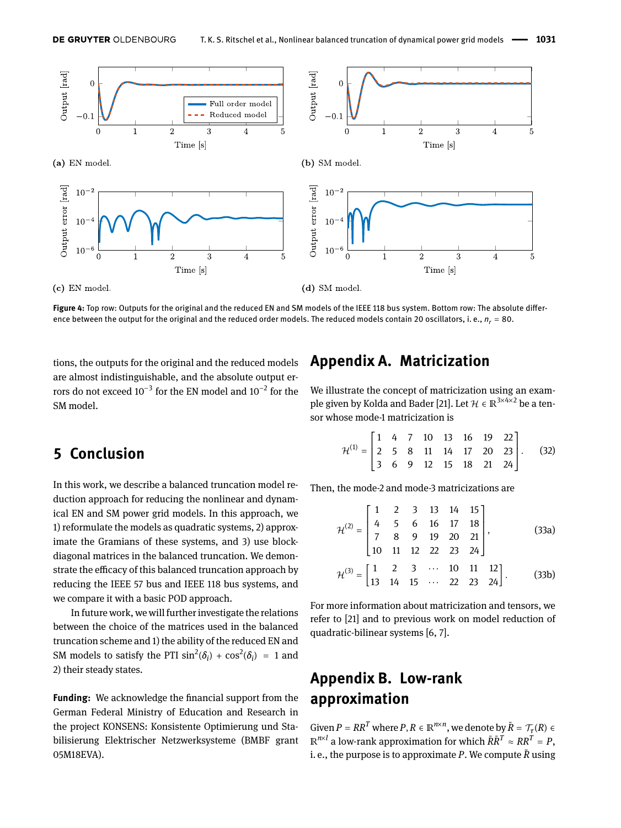<span id="page-9-3"></span>

**Figure 4:** Top row: Outputs for the original and the reduced EN and SM models of the IEEE 118 bus system. Bottom row: The absolute diference between the output for the original and the reduced order models. The reduced models contain 20 oscillators, i.e.,  $n_r = 80$ .

tions, the outputs for the original and the reduced models are almost indistinguishable, and the absolute output errors do not exceed 10<sup>-3</sup> for the EN model and 10<sup>-2</sup> for the SM model.

## <span id="page-9-0"></span>**5 Conclusion**

In this work, we describe a balanced truncation model reduction approach for reducing the nonlinear and dynamical EN and SM power grid models. In this approach, we 1) reformulate the models as quadratic systems, 2) approximate the Gramians of these systems, and 3) use blockdiagonal matrices in the balanced truncation. We demonstrate the efficacy of this balanced truncation approach by reducing the IEEE 57 bus and IEEE 118 bus systems, and we compare it with a basic POD approach.

In future work, we will further investigate the relations between the choice of the matrices used in the balanced truncation scheme and 1) the ability of the reduced EN and SM models to satisfy the PTI  $\sin^2(\delta_i) + \cos^2(\delta_i) = 1$  and 2) their steady states.

**Funding:** We acknowledge the fnancial support from the German Federal Ministry of Education and Research in the project KONSENS: Konsistente Optimierung und Stabilisierung Elektrischer Netzwerksysteme (BMBF grant 05M18EVA).

## <span id="page-9-1"></span>**Appendix A. Matricization**

We illustrate the concept of matricization using an exam-ple given by Kolda and Bader [\[21\]](#page-10-23). Let  $\mathcal{H}\in\mathbb{R}^{3\times4\times2}$  be a tensor whose mode-1 matricization is

$$
\mathcal{H}^{(1)} = \begin{bmatrix} 1 & 4 & 7 & 10 & 13 & 16 & 19 & 22 \\ 2 & 5 & 8 & 11 & 14 & 17 & 20 & 23 \\ 3 & 6 & 9 & 12 & 15 & 18 & 21 & 24 \end{bmatrix}.
$$
 (32)

Then, the mode-2 and mode-3 matricizations are

$$
\mathcal{H}^{(2)} = \begin{bmatrix} 1 & 2 & 3 & 13 & 14 & 15 \\ 4 & 5 & 6 & 16 & 17 & 18 \\ 7 & 8 & 9 & 19 & 20 & 21 \\ 10 & 11 & 12 & 22 & 23 & 24 \end{bmatrix},
$$
(33a)  

$$
\mathcal{H}^{(3)} = \begin{bmatrix} 1 & 2 & 3 & \cdots & 10 & 11 & 12 \\ 13 & 14 & 15 & \cdots & 22 & 23 & 24 \end{bmatrix}.
$$
(33b)

For more information about matricization and tensors, we refer to [\[21\]](#page-10-23) and to previous work on model reduction of quadratic-bilinear systems [\[6,](#page-10-16) [7\]](#page-10-13).

# <span id="page-9-2"></span>**Appendix B. Low-rank approximation**

Given  $P = RR^T$  where  $P, R \in \mathbb{R}^{n \times n}$ , we denote by  $\tilde{R} = \mathcal{T}_\tau(R) \in$ ℝ *n*×*l* a low-rank approximation for which *R*̃*R*̃*<sup>T</sup>* ≈ *RR<sup>T</sup>* = *P*, i. e., the purpose is to approximate *P*. We compute *R*̃using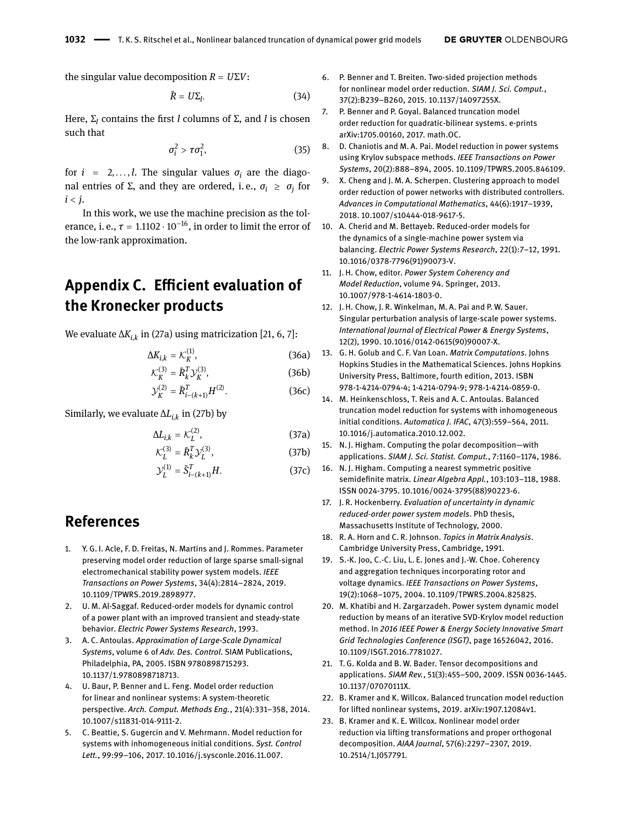the singular value decomposition *R* = *U*Σ*V*:

$$
\tilde{R} = U\Sigma_l. \tag{34}
$$

Here, Σ*<sup>l</sup>* contains the frst *l* columns of Σ, and *l* is chosen such that

$$
\sigma_i^2 > \tau \sigma_1^2, \tag{35}
$$

for  $i = 2, \ldots, l$ . The singular values  $\sigma_i$  are the diagonal entries of Σ, and they are ordered, i. e., *σ<sup>i</sup>* ≥ *σ<sup>j</sup>* for  $i < j$ .

In this work, we use the machine precision as the tolerance, i. e.,  $\tau = 1.1102 \cdot 10^{-16}$ , in order to limit the error of the low-rank approximation.

# <span id="page-10-20"></span>**Appendix C. Efficient evaluation of the Kronecker products**

We evaluate Δ*Ki*,*<sup>k</sup>* in [\(27a\)](#page-4-4) using matricization [\[21,](#page-10-23) [6,](#page-10-16) [7\]](#page-10-13):

$$
\Delta K_{i,k} = \mathcal{K}_K^{(1)},\tag{36a}
$$

$$
\mathcal{K}_K^{(3)} = \tilde{R}_k^T \mathcal{Y}_K^{(3)},\tag{36b}
$$

$$
\mathcal{Y}_K^{(2)} = \tilde{R}_{i-(k+1)}^T H^{(2)}.
$$
 (36c)

Similarly, we evaluate Δ*Li*,*<sup>k</sup>* in [\(27b\)](#page-4-5) by

$$
\Delta L_{i,k} = \mathcal{K}_L^{(2)},\tag{37a}
$$

$$
\mathcal{K}_L^{(3)} = \tilde{R}_k^T \mathcal{Y}_L^{(3)},\tag{37b}
$$

$$
\mathcal{Y}_L^{(1)} = \tilde{S}_{i-(k+1)}^T H. \tag{37c}
$$

## **References**

- <span id="page-10-3"></span>1. Y. G. I. Acle, F. D. Freitas, N. Martins and J. Rommes. Parameter preserving model order reduction of large sparse small-signal electromechanical stability power system models. *IEEE Transactions on Power Systems*, 34(4):2814–2824, 2019. [10.1109/TPWRS.2019.2898977.](https://doi.org/10.1109/TPWRS.2019.2898977)
- <span id="page-10-4"></span>2. U. M. Al-Saggaf. Reduced-order models for dynamic control of a power plant with an improved transient and steady-state behavior. *Electric Power Systems Research*, 1993.
- <span id="page-10-0"></span>3. A. C. Antoulas. *Approximation of Large-Scale Dynamical Systems*, volume 6 of *Adv. Des. Control*. SIAM Publications, Philadelphia, PA, 2005. ISBN 9780898715293. [10.1137/1.9780898718713.](https://doi.org/10.1137/1.9780898718713)
- <span id="page-10-17"></span>4. U. Baur, P. Benner and L. Feng. Model order reduction for linear and nonlinear systems: A system-theoretic perspective. *Arch. Comput. Methods Eng.*, 21(4):331–358, 2014. [10.1007/s11831-014-9111-2.](https://doi.org/10.1007/s11831-014-9111-2)
- <span id="page-10-18"></span>5. C. Beattie, S. Gugercin and V. Mehrmann. Model reduction for systems with inhomogeneous initial conditions. *Syst. Control Lett.*, 99:99–106, 2017. [10.1016/j.sysconle.2016.11.007.](https://doi.org/10.1016/j.sysconle.2016.11.007)
- <span id="page-10-16"></span>6. P. Benner and T. Breiten. Two-sided projection methods for nonlinear model order reduction. *SIAM J. Sci. Comput.*, 37(2):B239–B260, 2015. [10.1137/14097255X.](https://doi.org/10.1137/14097255X)
- <span id="page-10-13"></span>7. P. Benner and P. Goyal. Balanced truncation model order reduction for quadratic-bilinear systems. e-prints [arXiv:1705.00160,](http://arxiv.org/abs/arXiv:1705.00160) 2017. math.OC.
- <span id="page-10-6"></span>8. D. Chaniotis and M. A. Pai. Model reduction in power systems using Krylov subspace methods. *IEEE Transactions on Power Systems*, 20(2):888–894, 2005. [10.1109/TPWRS.2005.846109.](https://doi.org/10.1109/TPWRS.2005.846109)
- <span id="page-10-9"></span>X. Cheng and J. M. A. Scherpen. Clustering approach to model order reduction of power networks with distributed controllers. *Advances in Computational Mathematics*, 44(6):1917–1939, 2018. [10.1007/s10444-018-9617-5.](https://doi.org/10.1007/s10444-018-9617-5)
- <span id="page-10-5"></span>10. A. Cherid and M. Bettayeb. Reduced-order models for the dynamics of a single-machine power system via balancing. *Electric Power Systems Research*, 22(1):7–12, 1991. [10.1016/0378-7796\(91\)90073-V.](https://doi.org/10.1016/0378-7796(91)90073-V)
- <span id="page-10-2"></span>11. J. H. Chow, editor. *Power System Coherency and Model Reduction*, volume 94. Springer, 2013. [10.1007/978-1-4614-1803-0.](https://doi.org/10.1007/978-1-4614-1803-0)
- <span id="page-10-8"></span>12. J. H. Chow, J. R. Winkelman, M. A. Pai and P. W. Sauer. Singular perturbation analysis of large-scale power systems. *International Journal of Electrical Power & Energy Systems*, 12(2), 1990. [10.1016/0142-0615\(90\)90007-X.](https://doi.org/10.1016/0142-0615(90)90007-X)
- <span id="page-10-14"></span>13. G. H. Golub and C. F. Van Loan. *Matrix Computations*. Johns Hopkins Studies in the Mathematical Sciences. Johns Hopkins University Press, Baltimore, fourth edition, 2013. ISBN 978-1-4214-0794-4; 1-4214-0794-9; 978-1-4214-0859-0.
- <span id="page-10-19"></span>14. M. Heinkenschloss, T. Reis and A. C. Antoulas. Balanced truncation model reduction for systems with inhomogeneous initial conditions. *Automatica J. IFAC*, 47(3):559–564, 2011. [10.1016/j.automatica.2010.12.002.](https://doi.org/10.1016/j.automatica.2010.12.002)
- <span id="page-10-21"></span>15. N. J. Higham. Computing the polar decomposition—with applications. *SIAM J. Sci. Statist. Comput.*, 7:1160–1174, 1986.
- <span id="page-10-22"></span>16. N. J. Higham. Computing a nearest symmetric positive semidefnite matrix. *Linear Algebra Appl.*, 103:103–118, 1988. ISSN 0024-3795. [10.1016/0024-3795\(88\)90223-6.](https://doi.org/10.1016/0024-3795(88)90223-6)
- <span id="page-10-10"></span>17. J. R. Hockenberry. *Evaluation of uncertainty in dynamic reduced-order power system models*. PhD thesis, Massachusetts Institute of Technology, 2000.
- <span id="page-10-15"></span>18. R. A. Horn and C. R. Johnson. *Topics in Matrix Analysis*. Cambridge University Press, Cambridge, 1991.
- <span id="page-10-1"></span>19. S.-K. Joo, C.-C. Liu, L. E. Jones and J.-W. Choe. Coherency and aggregation techniques incorporating rotor and voltage dynamics. *IEEE Transactions on Power Systems*, 19(2):1068–1075, 2004. [10.1109/TPWRS.2004.825825.](https://doi.org/10.1109/TPWRS.2004.825825)
- <span id="page-10-7"></span>20. M. Khatibi and H. Zargarzadeh. Power system dynamic model reduction by means of an iterative SVD-Krylov model reduction method. In *2016 IEEE Power & Energy Society Innovative Smart Grid Technologies Conference (ISGT)*, page 16526042, 2016. [10.1109/ISGT.2016.7781027.](https://doi.org/10.1109/ISGT.2016.7781027)
- <span id="page-10-23"></span>21. T. G. Kolda and B. W. Bader. Tensor decompositions and applications. *SIAM Rev.*, 51(3):455–500, 2009. ISSN 0036-1445. [10.1137/07070111X.](https://doi.org/10.1137/07070111X)
- <span id="page-10-12"></span>22. B. Kramer and K. Willcox. Balanced truncation model reduction for lifted nonlinear systems, 2019. [arXiv:1907.12084v1.](http://arxiv.org/abs/arXiv:1907.12084v1)
- <span id="page-10-11"></span>23. B. Kramer and K. E. Willcox. Nonlinear model order reduction via lifting transformations and proper orthogonal decomposition. *AIAA Journal*, 57(6):2297–2307, 2019. [10.2514/1.J057791.](https://doi.org/10.2514/1.J057791)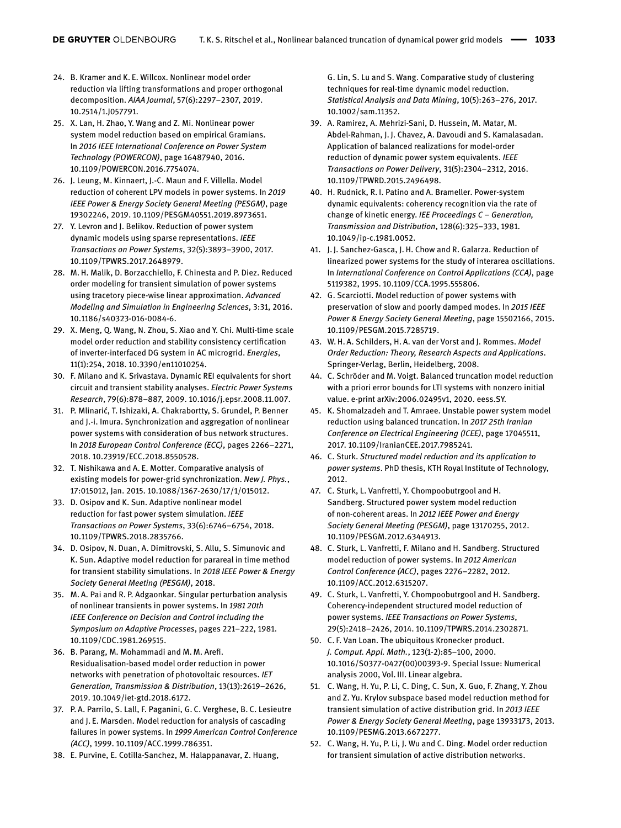- <span id="page-11-28"></span>24. B. Kramer and K. E. Willcox. Nonlinear model order reduction via lifting transformations and proper orthogonal decomposition. *AIAA Journal*, 57(6):2297–2307, 2019. [10.2514/1.J057791.](https://doi.org/10.2514/1.J057791)
- <span id="page-11-20"></span>25. X. Lan, H. Zhao, Y. Wang and Z. Mi. Nonlinear power system model reduction based on empirical Gramians. In *2016 IEEE International Conference on Power System Technology (POWERCON)*, page 16487940, 2016. [10.1109/POWERCON.2016.7754074.](https://doi.org/10.1109/POWERCON.2016.7754074)
- <span id="page-11-4"></span>26. J. Leung, M. Kinnaert, J.-C. Maun and F. Villella. Model reduction of coherent LPV models in power systems. In *2019 IEEE Power & Energy Society General Meeting (PESGM)*, page 19302246, 2019. [10.1109/PESGM40551.2019.8973651.](https://doi.org/10.1109/PESGM40551.2019.8973651)
- <span id="page-11-18"></span>27. Y. Levron and J. Belikov. Reduction of power system dynamic models using sparse representations. *IEEE Transactions on Power Systems*, 32(5):3893–3900, 2017. [10.1109/TPWRS.2017.2648979.](https://doi.org/10.1109/TPWRS.2017.2648979)
- <span id="page-11-21"></span>28. M. H. Malik, D. Borzacchiello, F. Chinesta and P. Diez. Reduced order modeling for transient simulation of power systems using tracetory piece-wise linear approximation. *Advanced Modeling and Simulation in Engineering Sciences*, 3:31, 2016. [10.1186/s40323-016-0084-6.](https://doi.org/10.1186/s40323-016-0084-6)
- <span id="page-11-16"></span>29. X. Meng, Q. Wang, N. Zhou, S. Xiao and Y. Chi. Multi-time scale model order reduction and stability consistency certifcation of inverter-interfaced DG system in AC microgrid. *Energies*, 11(1):254, 2018. [10.3390/en11010254.](https://doi.org/10.3390/en11010254)
- <span id="page-11-2"></span>30. F. Milano and K. Srivastava. Dynamic REI equivalents for short circuit and transient stability analyses. *Electric Power Systems Research*, 79(6):878–887, 2009. [10.1016/j.epsr.2008.11.007.](https://doi.org/10.1016/j.epsr.2008.11.007)
- <span id="page-11-25"></span>31. P. Mlinarić, T. Ishizaki, A. Chakrabortty, S. Grundel, P. Benner and J.-i. Imura. Synchronization and aggregation of nonlinear power systems with consideration of bus network structures. In *2018 European Control Conference (ECC)*, pages 2266–2271, 2018. [10.23919/ECC.2018.8550528.](https://doi.org/10.23919/ECC.2018.8550528)
- <span id="page-11-1"></span>32. T. Nishikawa and A. E. Motter. Comparative analysis of existing models for power-grid synchronization. *New J. Phys.*, 17:015012, Jan. 2015. [10.1088/1367-2630/17/1/015012.](https://doi.org/10.1088/1367-2630/17/1/015012)
- <span id="page-11-23"></span>33. D. Osipov and K. Sun. Adaptive nonlinear model reduction for fast power system simulation. *IEEE Transactions on Power Systems*, 33(6):6746–6754, 2018. [10.1109/TPWRS.2018.2835766.](https://doi.org/10.1109/TPWRS.2018.2835766)
- <span id="page-11-24"></span>34. D. Osipov, N. Duan, A. Dimitrovski, S. Allu, S. Simunovic and K. Sun. Adaptive model reduction for parareal in time method for transient stability simulations. In *2018 IEEE Power & Energy Society General Meeting (PESGM)*, 2018.
- <span id="page-11-17"></span>35. M. A. Pai and R. P. Adgaonkar. Singular perturbation analysis of nonlinear transients in power systems. In *1981 20th IEEE Conference on Decision and Control including the Symposium on Adaptive Processes*, pages 221–222, 1981. [10.1109/CDC.1981.269515.](https://doi.org/10.1109/CDC.1981.269515)
- <span id="page-11-12"></span>36. B. Parang, M. Mohammadi and M. M. Aref. Residualisation-based model order reduction in power networks with penetration of photovoltaic resources. *IET Generation, Transmission & Distribution*, 13(13):2619–2626, 2019. [10.1049/iet-gtd.2018.6172.](https://doi.org/10.1049/iet-gtd.2018.6172)
- <span id="page-11-19"></span>37. P. A. Parrilo, S. Lall, F. Paganini, G. C. Verghese, B. C. Lesieutre and J. E. Marsden. Model reduction for analysis of cascading failures in power systems. In *1999 American Control Conference (ACC)*, 1999. [10.1109/ACC.1999.786351.](https://doi.org/10.1109/ACC.1999.786351)
- <span id="page-11-22"></span>38. E. Purvine, E. Cotilla-Sanchez, M. Halappanavar, Z. Huang,

G. Lin, S. Lu and S. Wang. Comparative study of clustering techniques for real-time dynamic model reduction. *Statistical Analysis and Data Mining*, 10(5):263–276, 2017. [10.1002/sam.11352.](https://doi.org/10.1002/sam.11352)

- <span id="page-11-5"></span>39. A. Ramirez, A. Mehrizi-Sani, D. Hussein, M. Matar, M. Abdel-Rahman, J. J. Chavez, A. Davoudi and S. Kamalasadan. Application of balanced realizations for model-order reduction of dynamic power system equivalents. *IEEE Transactions on Power Delivery*, 31(5):2304–2312, 2016. [10.1109/TPWRD.2015.2496498.](https://doi.org/10.1109/TPWRD.2015.2496498)
- <span id="page-11-3"></span>40. H. Rudnick, R. I. Patino and A. Brameller. Power-system dynamic equivalents: coherency recognition via the rate of change of kinetic energy. *IEE Proceedings C – Generation, Transmission and Distribution*, 128(6):325–333, 1981. [10.1049/ip-c.1981.0052.](https://doi.org/10.1049/ip-c.1981.0052)
- <span id="page-11-6"></span>41. J. J. Sanchez-Gasca, J. H. Chow and R. Galarza. Reduction of linearized power systems for the study of interarea oscillations. In *International Conference on Control Applications (CCA)*, page 5119382, 1995. [10.1109/CCA.1995.555806.](https://doi.org/10.1109/CCA.1995.555806)
- <span id="page-11-13"></span>42. G. Scarciotti. Model reduction of power systems with preservation of slow and poorly damped modes. In *2015 IEEE Power & Energy Society General Meeting*, page 15502166, 2015. [10.1109/PESGM.2015.7285719.](https://doi.org/10.1109/PESGM.2015.7285719)
- <span id="page-11-0"></span>43. W. H. A. Schilders, H. A. van der Vorst and J. Rommes. *Model Order Reduction: Theory, Research Aspects and Applications*. Springer-Verlag, Berlin, Heidelberg, 2008.
- <span id="page-11-27"></span>44. C. Schröder and M. Voigt. Balanced truncation model reduction with a priori error bounds for LTI systems with nonzero initial value. e-print [arXiv:2006.02495v1,](http://arxiv.org/abs/arXiv:2006.02495v1) 2020. eess.SY.
- <span id="page-11-7"></span>45. K. Shomalzadeh and T. Amraee. Unstable power system model reduction using balanced truncation. In *2017 25th Iranian Conference on Electrical Engineering (ICEE)*, page 17045511, 2017. [10.1109/IranianCEE.2017.7985241.](https://doi.org/10.1109/IranianCEE.2017.7985241)
- <span id="page-11-8"></span>46. C. Sturk. *Structured model reduction and its application to power systems*. PhD thesis, KTH Royal Institute of Technology, 2012.
- <span id="page-11-9"></span>47. C. Sturk, L. Vanfretti, Y. Chompoobutrgool and H. Sandberg. Structured power system model reduction of non-coherent areas. In *2012 IEEE Power and Energy Society General Meeting (PESGM)*, page 13170255, 2012. [10.1109/PESGM.2012.6344913.](https://doi.org/10.1109/PESGM.2012.6344913)
- <span id="page-11-10"></span>48. C. Sturk, L. Vanfretti, F. Milano and H. Sandberg. Structured model reduction of power systems. In *2012 American Control Conference (ACC)*, pages 2276–2282, 2012. [10.1109/ACC.2012.6315207.](https://doi.org/10.1109/ACC.2012.6315207)
- <span id="page-11-11"></span>49. C. Sturk, L. Vanfretti, Y. Chompoobutrgool and H. Sandberg. Coherency-independent structured model reduction of power systems. *IEEE Transactions on Power Systems*, 29(5):2418–2426, 2014. [10.1109/TPWRS.2014.2302871.](https://doi.org/10.1109/TPWRS.2014.2302871)
- <span id="page-11-26"></span>50. C. F. Van Loan. The ubiquitous Kronecker product. *J. Comput. Appl. Math.*, 123(1-2):85–100, 2000. [10.1016/S0377-0427\(00\)00393-9.](https://doi.org/10.1016/S0377-0427(00)00393-9) Special Issue: Numerical analysis 2000, Vol. III. Linear algebra.
- <span id="page-11-14"></span>51. C. Wang, H. Yu, P. Li, C. Ding, C. Sun, X. Guo, F. Zhang, Y. Zhou and Z. Yu. Krylov subspace based model reduction method for transient simulation of active distribution grid. In *2013 IEEE Power & Energy Society General Meeting*, page 13933173, 2013. [10.1109/PESMG.2013.6672277.](https://doi.org/10.1109/PESMG.2013.6672277)
- <span id="page-11-15"></span>52. C. Wang, H. Yu, P. Li, J. Wu and C. Ding. Model order reduction for transient simulation of active distribution networks.